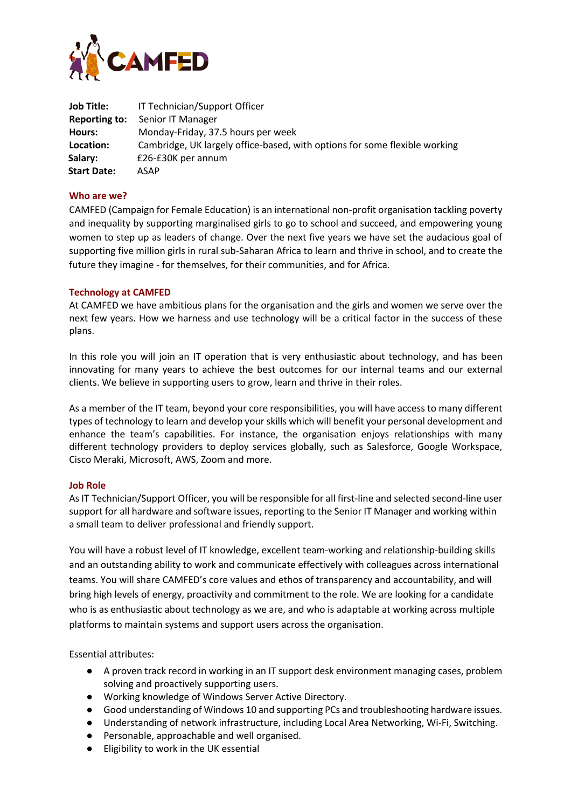

| Job Title:         | IT Technician/Support Officer                                              |
|--------------------|----------------------------------------------------------------------------|
| Reporting to:      | Senior IT Manager                                                          |
| Hours:             | Monday-Friday, 37.5 hours per week                                         |
| Location:          | Cambridge, UK largely office-based, with options for some flexible working |
| Salary:            | £26-£30K per annum                                                         |
| <b>Start Date:</b> | ASAP                                                                       |

## **Who are we?**

CAMFED (Campaign for Female Education) is an international non-profit organisation tackling poverty and inequality by supporting marginalised girls to go to school and succeed, and empowering young women to step up as leaders of change. Over the next five years we have set the audacious goal of supporting five million girls in rural sub-Saharan Africa to learn and thrive in school, and to create the future they imagine - for themselves, for their communities, and for Africa.

## **Technology at CAMFED**

At CAMFED we have ambitious plans for the organisation and the girls and women we serve over the next few years. How we harness and use technology will be a critical factor in the success of these plans.

In this role you will join an IT operation that is very enthusiastic about technology, and has been innovating for many years to achieve the best outcomes for our internal teams and our external clients. We believe in supporting users to grow, learn and thrive in their roles.

As a member of the IT team, beyond your core responsibilities, you will have access to many different types of technology to learn and develop your skills which will benefit your personal development and enhance the team's capabilities. For instance, the organisation enjoys relationships with many different technology providers to deploy services globally, such as Salesforce, Google Workspace, Cisco Meraki, Microsoft, AWS, Zoom and more.

## **Job Role**

As IT Technician/Support Officer, you will be responsible for all first-line and selected second-line user support for all hardware and software issues, reporting to the Senior IT Manager and working within a small team to deliver professional and friendly support.

You will have a robust level of IT knowledge, excellent team-working and relationship-building skills and an outstanding ability to work and communicate effectively with colleagues across international teams. You will share CAMFED's core values and ethos of transparency and accountability, and will bring high levels of energy, proactivity and commitment to the role. We are looking for a candidate who is as enthusiastic about technology as we are, and who is adaptable at working across multiple platforms to maintain systems and support users across the organisation.

Essential attributes:

- A proven track record in working in an IT support desk environment managing cases, problem solving and proactively supporting users.
- Working knowledge of Windows Server Active Directory.
- Good understanding of Windows 10 and supporting PCs and troubleshooting hardware issues.
- Understanding of network infrastructure, including Local Area Networking, Wi-Fi, Switching.
- Personable, approachable and well organised.
- Eligibility to work in the UK essential